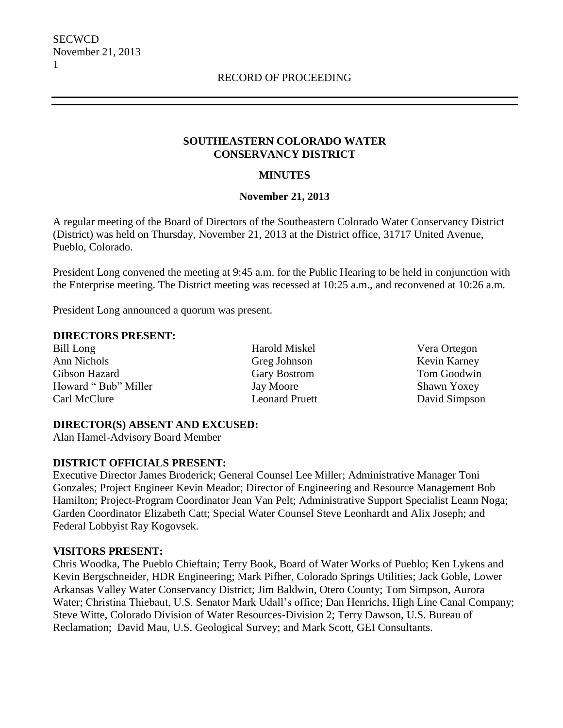#### **SOUTHEASTERN COLORADO WATER CONSERVANCY DISTRICT**

### **MINUTES**

#### **November 21, 2013**

A regular meeting of the Board of Directors of the Southeastern Colorado Water Conservancy District (District) was held on Thursday, November 21, 2013 at the District office, 31717 United Avenue, Pueblo, Colorado.

President Long convened the meeting at 9:45 a.m. for the Public Hearing to be held in conjunction with the Enterprise meeting. The District meeting was recessed at 10:25 a.m., and reconvened at 10:26 a.m.

President Long announced a quorum was present.

#### **DIRECTORS PRESENT:**

Bill Long Harold Miskel Vera Ortegon Ann Nichols Greg Johnson Kevin Karney Gibson Hazard Gary Bostrom Tom Goodwin Howard " Bub" Miller Jay Moore Shawn Yoxey Carl McClure Leonard Pruett David Simpson

#### **DIRECTOR(S) ABSENT AND EXCUSED:**

Alan Hamel-Advisory Board Member

#### **DISTRICT OFFICIALS PRESENT:**

Executive Director James Broderick; General Counsel Lee Miller; Administrative Manager Toni Gonzales; Project Engineer Kevin Meador; Director of Engineering and Resource Management Bob Hamilton; Project-Program Coordinator Jean Van Pelt; Administrative Support Specialist Leann Noga; Garden Coordinator Elizabeth Catt; Special Water Counsel Steve Leonhardt and Alix Joseph; and Federal Lobbyist Ray Kogovsek.

#### **VISITORS PRESENT:**

Chris Woodka, The Pueblo Chieftain; Terry Book, Board of Water Works of Pueblo; Ken Lykens and Kevin Bergschneider, HDR Engineering; Mark Pifher, Colorado Springs Utilities; Jack Goble, Lower Arkansas Valley Water Conservancy District; Jim Baldwin, Otero County; Tom Simpson, Aurora Water; Christina Thiebaut, U.S. Senator Mark Udall's office; Dan Henrichs, High Line Canal Company; Steve Witte, Colorado Division of Water Resources-Division 2; Terry Dawson, U.S. Bureau of Reclamation; David Mau, U.S. Geological Survey; and Mark Scott, GEI Consultants.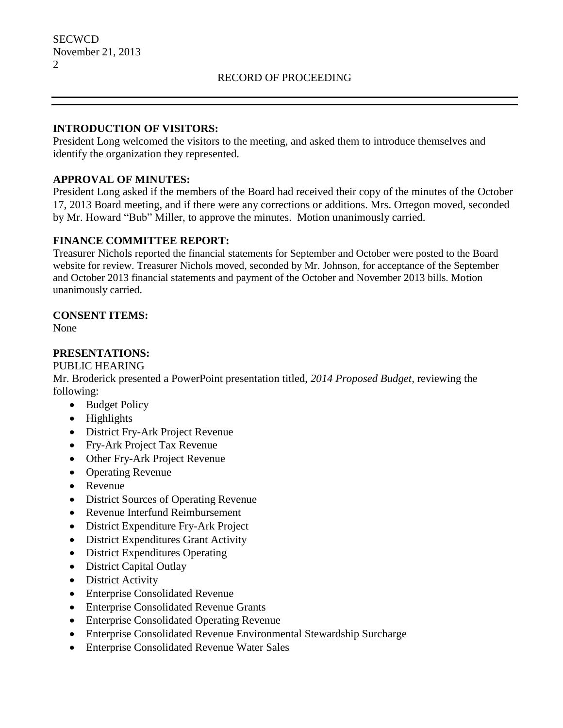#### **INTRODUCTION OF VISITORS:**

President Long welcomed the visitors to the meeting, and asked them to introduce themselves and identify the organization they represented.

## **APPROVAL OF MINUTES:**

President Long asked if the members of the Board had received their copy of the minutes of the October 17, 2013 Board meeting, and if there were any corrections or additions. Mrs. Ortegon moved, seconded by Mr. Howard "Bub" Miller, to approve the minutes. Motion unanimously carried.

## **FINANCE COMMITTEE REPORT:**

Treasurer Nichols reported the financial statements for September and October were posted to the Board website for review. Treasurer Nichols moved, seconded by Mr. Johnson, for acceptance of the September and October 2013 financial statements and payment of the October and November 2013 bills. Motion unanimously carried.

## **CONSENT ITEMS:**

None

## **PRESENTATIONS:**

PUBLIC HEARING

Mr. Broderick presented a PowerPoint presentation titled, *2014 Proposed Budget,* reviewing the following:

- Budget Policy
- Highlights
- District Fry-Ark Project Revenue
- Fry-Ark Project Tax Revenue
- Other Fry-Ark Project Revenue
- Operating Revenue
- Revenue
- District Sources of Operating Revenue
- Revenue Interfund Reimbursement
- District Expenditure Fry-Ark Project
- District Expenditures Grant Activity
- District Expenditures Operating
- District Capital Outlay
- District Activity
- Enterprise Consolidated Revenue
- Enterprise Consolidated Revenue Grants
- Enterprise Consolidated Operating Revenue
- Enterprise Consolidated Revenue Environmental Stewardship Surcharge
- Enterprise Consolidated Revenue Water Sales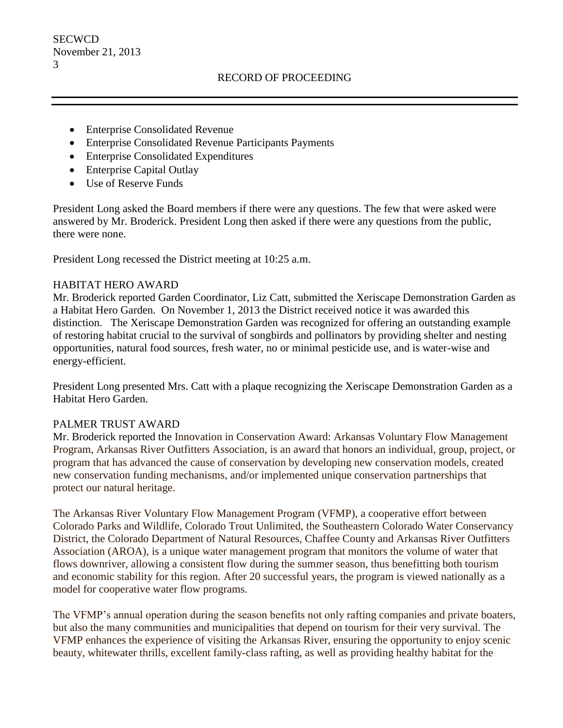- Enterprise Consolidated Revenue
- Enterprise Consolidated Revenue Participants Payments
- Enterprise Consolidated Expenditures
- Enterprise Capital Outlay
- Use of Reserve Funds

President Long asked the Board members if there were any questions. The few that were asked were answered by Mr. Broderick. President Long then asked if there were any questions from the public, there were none.

President Long recessed the District meeting at 10:25 a.m.

#### HABITAT HERO AWARD

Mr. Broderick reported Garden Coordinator, Liz Catt, submitted the Xeriscape Demonstration Garden as a Habitat Hero Garden. On November 1, 2013 the District received notice it was awarded this distinction. The Xeriscape Demonstration Garden was recognized for offering an outstanding example of restoring habitat crucial to the survival of songbirds and pollinators by providing shelter and nesting opportunities, natural food sources, fresh water, no or minimal pesticide use, and is water-wise and energy-efficient.

President Long presented Mrs. Catt with a plaque recognizing the Xeriscape Demonstration Garden as a Habitat Hero Garden.

#### PALMER TRUST AWARD

Mr. Broderick reported the Innovation in Conservation Award: Arkansas Voluntary Flow Management Program, Arkansas River Outfitters Association, is an award that honors an individual, group, project, or program that has advanced the cause of conservation by developing new conservation models, created new conservation funding mechanisms, and/or implemented unique conservation partnerships that protect our natural heritage.

The Arkansas River Voluntary Flow Management Program (VFMP), a cooperative effort between Colorado Parks and Wildlife, Colorado Trout Unlimited, the Southeastern Colorado Water Conservancy District, the Colorado Department of Natural Resources, Chaffee County and Arkansas River Outfitters Association (AROA), is a unique water management program that monitors the volume of water that flows downriver, allowing a consistent flow during the summer season, thus benefitting both tourism and economic stability for this region. After 20 successful years, the program is viewed nationally as a model for cooperative water flow programs.

The VFMP's annual operation during the season benefits not only rafting companies and private boaters, but also the many communities and municipalities that depend on tourism for their very survival. The VFMP enhances the experience of visiting the Arkansas River, ensuring the opportunity to enjoy scenic beauty, whitewater thrills, excellent family-class rafting, as well as providing healthy habitat for the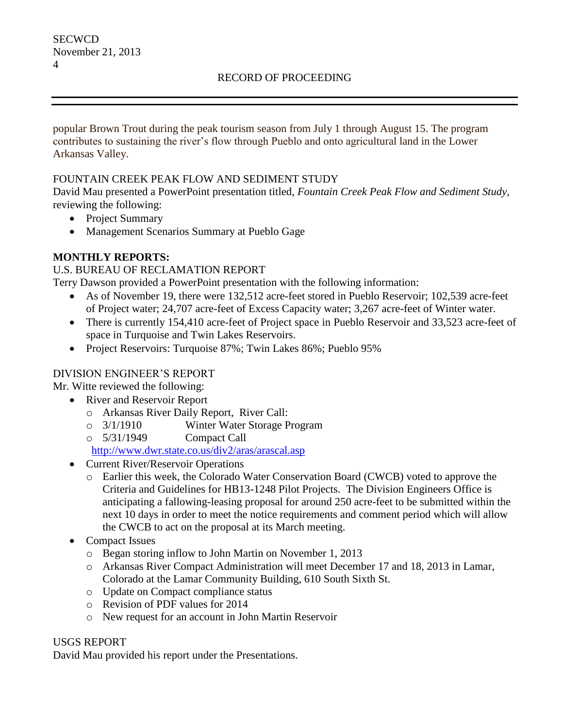### RECORD OF PROCEEDING

popular Brown Trout during the peak tourism season from July 1 through August 15. The program contributes to sustaining the river's flow through Pueblo and onto agricultural land in the Lower Arkansas Valley.

### FOUNTAIN CREEK PEAK FLOW AND SEDIMENT STUDY

David Mau presented a PowerPoint presentation titled, *Fountain Creek Peak Flow and Sediment Study,*  reviewing the following:

- Project Summary
- Management Scenarios Summary at Pueblo Gage

### **MONTHLY REPORTS:**

#### U.S. BUREAU OF RECLAMATION REPORT

Terry Dawson provided a PowerPoint presentation with the following information:

- As of November 19, there were 132,512 acre-feet stored in Pueblo Reservoir; 102,539 acre-feet of Project water; 24,707 acre-feet of Excess Capacity water; 3,267 acre-feet of Winter water.
- There is currently 154,410 acre-feet of Project space in Pueblo Reservoir and 33,523 acre-feet of space in Turquoise and Twin Lakes Reservoirs.
- Project Reservoirs: Turquoise 87%; Twin Lakes 86%; Pueblo 95%

## DIVISION ENGINEER'S REPORT

Mr. Witte reviewed the following:

- River and Reservoir Report
	- o Arkansas River Daily Report, River Call:
	- o 3/1/1910 Winter Water Storage Program
	- o 5/31/1949 Compact Call

<http://www.dwr.state.co.us/div2/aras/arascal.asp>

- Current River/Reservoir Operations
	- o Earlier this week, the Colorado Water Conservation Board (CWCB) voted to approve the Criteria and Guidelines for HB13-1248 Pilot Projects. The Division Engineers Office is anticipating a fallowing-leasing proposal for around 250 acre-feet to be submitted within the next 10 days in order to meet the notice requirements and comment period which will allow the CWCB to act on the proposal at its March meeting.
- Compact Issues
	- o Began storing inflow to John Martin on November 1, 2013
	- o Arkansas River Compact Administration will meet December 17 and 18, 2013 in Lamar, Colorado at the Lamar Community Building, 610 South Sixth St.
	- o Update on Compact compliance status
	- o Revision of PDF values for 2014
	- o New request for an account in John Martin Reservoir

### USGS REPORT

David Mau provided his report under the Presentations.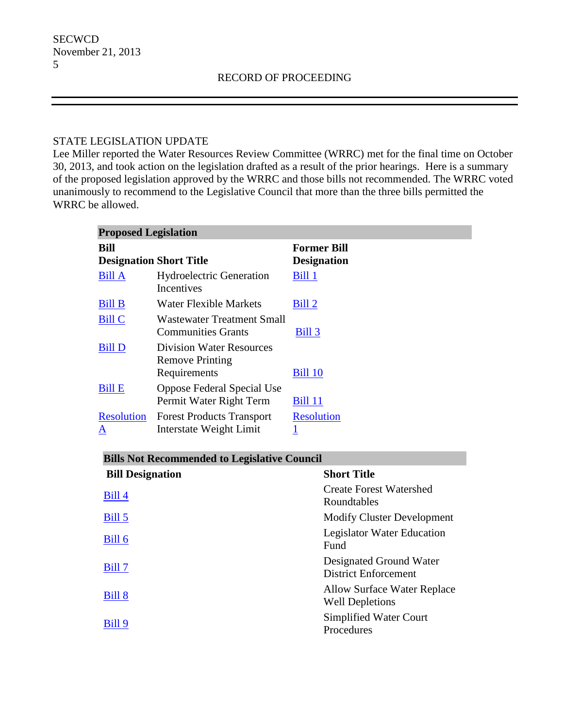#### STATE LEGISLATION UPDATE

Lee Miller reported the Water Resources Review Committee (WRRC) met for the final time on October 30, 2013, and took action on the legislation drafted as a result of the prior hearings. Here is a summary of the proposed legislation approved by the WRRC and those bills not recommended. The WRRC voted unanimously to recommend to the Legislative Council that more than the three bills permitted the WRRC be allowed.

| <b>Proposed Legislation</b>            |                                                                           |                                          |  |
|----------------------------------------|---------------------------------------------------------------------------|------------------------------------------|--|
| Bill<br><b>Designation Short Title</b> |                                                                           | <b>Former Bill</b><br><b>Designation</b> |  |
| <b>Bill A</b>                          | Hydroelectric Generation<br><b>Incentives</b>                             | Bill 1                                   |  |
| <b>Bill B</b>                          | Water Flexible Markets                                                    | Bill 2                                   |  |
| <b>Bill C</b>                          | <b>Wastewater Treatment Small</b><br><b>Communities Grants</b>            | Bill 3                                   |  |
| <b>Bill D</b>                          | <b>Division Water Resources</b><br><b>Remove Printing</b><br>Requirements | <b>Bill 10</b>                           |  |
| <b>Bill E</b>                          | Oppose Federal Special Use<br>Permit Water Right Term                     | <b>Bill 11</b>                           |  |
| <b>Resolution</b><br>A                 | <b>Forest Products Transport</b><br>Interstate Weight Limit               | <b>Resolution</b>                        |  |

## **Bills Not Recommended to Legislative Council**

| <b>Bill Designation</b> | <b>Short Title</b>                                     |
|-------------------------|--------------------------------------------------------|
| Bill 4                  | <b>Create Forest Watershed</b><br>Roundtables          |
| Bill 5                  | <b>Modify Cluster Development</b>                      |
| Bill 6                  | Legislator Water Education<br>Fund                     |
| Bill 7                  | Designated Ground Water<br><b>District Enforcement</b> |
| Bill 8                  | Allow Surface Water Replace<br><b>Well Depletions</b>  |
| Bill 9                  | Simplified Water Court<br>Procedures                   |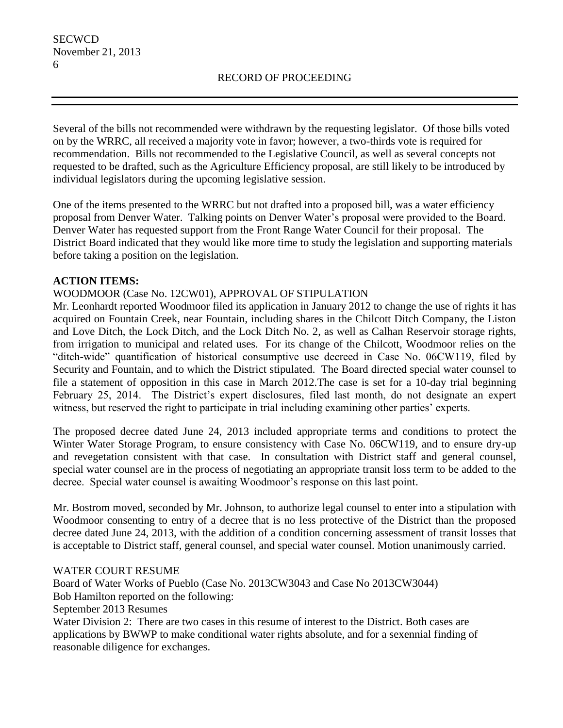Several of the bills not recommended were withdrawn by the requesting legislator. Of those bills voted on by the WRRC, all received a majority vote in favor; however, a two-thirds vote is required for recommendation. Bills not recommended to the Legislative Council, as well as several concepts not requested to be drafted, such as the Agriculture Efficiency proposal, are still likely to be introduced by individual legislators during the upcoming legislative session.

One of the items presented to the WRRC but not drafted into a proposed bill, was a water efficiency proposal from Denver Water. Talking points on Denver Water's proposal were provided to the Board. Denver Water has requested support from the Front Range Water Council for their proposal. The District Board indicated that they would like more time to study the legislation and supporting materials before taking a position on the legislation.

## **ACTION ITEMS:**

### WOODMOOR (Case No. 12CW01), APPROVAL OF STIPULATION

Mr. Leonhardt reported Woodmoor filed its application in January 2012 to change the use of rights it has acquired on Fountain Creek, near Fountain, including shares in the Chilcott Ditch Company, the Liston and Love Ditch, the Lock Ditch, and the Lock Ditch No. 2, as well as Calhan Reservoir storage rights, from irrigation to municipal and related uses. For its change of the Chilcott, Woodmoor relies on the "ditch-wide" quantification of historical consumptive use decreed in Case No. 06CW119, filed by Security and Fountain, and to which the District stipulated. The Board directed special water counsel to file a statement of opposition in this case in March 2012.The case is set for a 10-day trial beginning February 25, 2014. The District's expert disclosures, filed last month, do not designate an expert witness, but reserved the right to participate in trial including examining other parties' experts.

The proposed decree dated June 24, 2013 included appropriate terms and conditions to protect the Winter Water Storage Program, to ensure consistency with Case No. 06CW119, and to ensure dry-up and revegetation consistent with that case. In consultation with District staff and general counsel, special water counsel are in the process of negotiating an appropriate transit loss term to be added to the decree. Special water counsel is awaiting Woodmoor's response on this last point.

Mr. Bostrom moved, seconded by Mr. Johnson, to authorize legal counsel to enter into a stipulation with Woodmoor consenting to entry of a decree that is no less protective of the District than the proposed decree dated June 24, 2013, with the addition of a condition concerning assessment of transit losses that is acceptable to District staff, general counsel, and special water counsel. Motion unanimously carried.

#### WATER COURT RESUME

Board of Water Works of Pueblo (Case No. 2013CW3043 and Case No 2013CW3044) Bob Hamilton reported on the following: September 2013 Resumes Water Division 2: There are two cases in this resume of interest to the District. Both cases are applications by BWWP to make conditional water rights absolute, and for a sexennial finding of reasonable diligence for exchanges.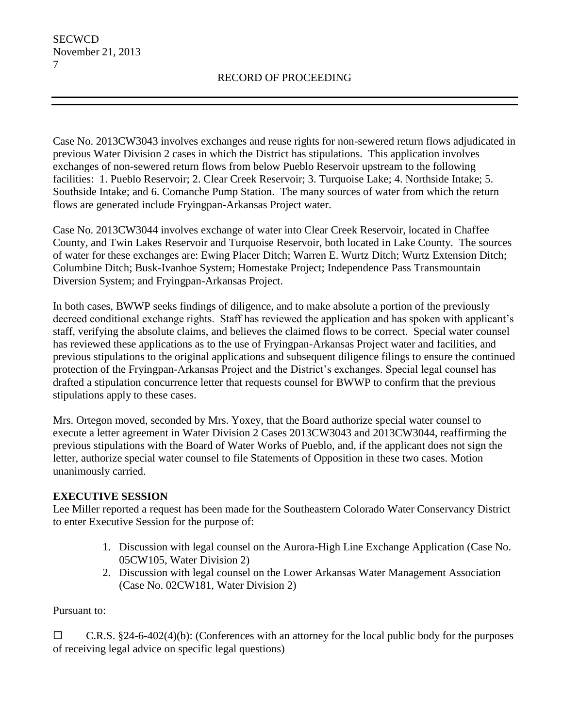Case No. 2013CW3043 involves exchanges and reuse rights for non-sewered return flows adjudicated in previous Water Division 2 cases in which the District has stipulations. This application involves exchanges of non-sewered return flows from below Pueblo Reservoir upstream to the following facilities: 1. Pueblo Reservoir; 2. Clear Creek Reservoir; 3. Turquoise Lake; 4. Northside Intake; 5. Southside Intake; and 6. Comanche Pump Station. The many sources of water from which the return flows are generated include Fryingpan-Arkansas Project water.

Case No. 2013CW3044 involves exchange of water into Clear Creek Reservoir, located in Chaffee County, and Twin Lakes Reservoir and Turquoise Reservoir, both located in Lake County. The sources of water for these exchanges are: Ewing Placer Ditch; Warren E. Wurtz Ditch; Wurtz Extension Ditch; Columbine Ditch; Busk-Ivanhoe System; Homestake Project; Independence Pass Transmountain Diversion System; and Fryingpan-Arkansas Project.

In both cases, BWWP seeks findings of diligence, and to make absolute a portion of the previously decreed conditional exchange rights. Staff has reviewed the application and has spoken with applicant's staff, verifying the absolute claims, and believes the claimed flows to be correct. Special water counsel has reviewed these applications as to the use of Fryingpan-Arkansas Project water and facilities, and previous stipulations to the original applications and subsequent diligence filings to ensure the continued protection of the Fryingpan-Arkansas Project and the District's exchanges. Special legal counsel has drafted a stipulation concurrence letter that requests counsel for BWWP to confirm that the previous stipulations apply to these cases.

Mrs. Ortegon moved, seconded by Mrs. Yoxey, that the Board authorize special water counsel to execute a letter agreement in Water Division 2 Cases 2013CW3043 and 2013CW3044, reaffirming the previous stipulations with the Board of Water Works of Pueblo, and, if the applicant does not sign the letter, authorize special water counsel to file Statements of Opposition in these two cases. Motion unanimously carried.

# **EXECUTIVE SESSION**

Lee Miller reported a request has been made for the Southeastern Colorado Water Conservancy District to enter Executive Session for the purpose of:

- 1. Discussion with legal counsel on the Aurora-High Line Exchange Application (Case No. 05CW105, Water Division 2)
- 2. Discussion with legal counsel on the Lower Arkansas Water Management Association (Case No. 02CW181, Water Division 2)

## Pursuant to:

 $\Box$  C.R.S. §24-6-402(4)(b): (Conferences with an attorney for the local public body for the purposes of receiving legal advice on specific legal questions)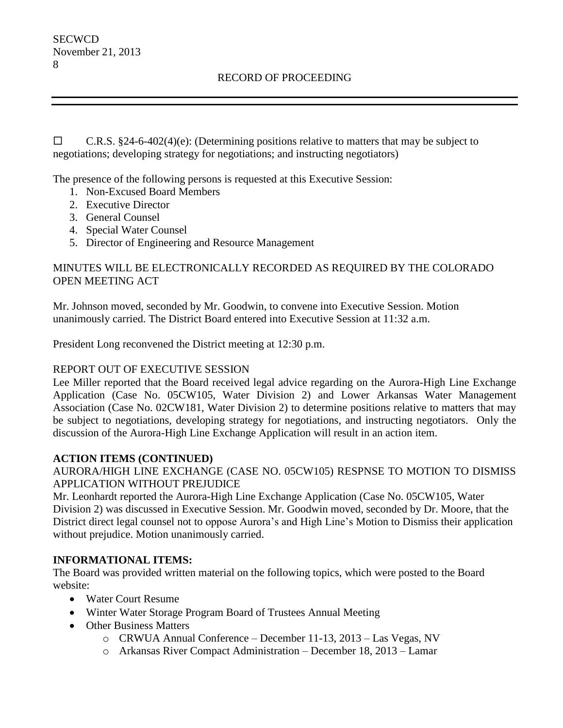$\Box$  C.R.S. §24-6-402(4)(e): (Determining positions relative to matters that may be subject to negotiations; developing strategy for negotiations; and instructing negotiators)

The presence of the following persons is requested at this Executive Session:

- 1. Non-Excused Board Members
- 2. Executive Director
- 3. General Counsel
- 4. Special Water Counsel
- 5. Director of Engineering and Resource Management

## MINUTES WILL BE ELECTRONICALLY RECORDED AS REQUIRED BY THE COLORADO OPEN MEETING ACT

Mr. Johnson moved, seconded by Mr. Goodwin, to convene into Executive Session. Motion unanimously carried. The District Board entered into Executive Session at 11:32 a.m.

President Long reconvened the District meeting at 12:30 p.m.

## REPORT OUT OF EXECUTIVE SESSION

Lee Miller reported that the Board received legal advice regarding on the Aurora-High Line Exchange Application (Case No. 05CW105, Water Division 2) and Lower Arkansas Water Management Association (Case No. 02CW181, Water Division 2) to determine positions relative to matters that may be subject to negotiations, developing strategy for negotiations, and instructing negotiators. Only the discussion of the Aurora-High Line Exchange Application will result in an action item.

## **ACTION ITEMS (CONTINUED)**

AURORA/HIGH LINE EXCHANGE (CASE NO. 05CW105) RESPNSE TO MOTION TO DISMISS APPLICATION WITHOUT PREJUDICE

Mr. Leonhardt reported the Aurora-High Line Exchange Application (Case No. 05CW105, Water Division 2) was discussed in Executive Session. Mr. Goodwin moved, seconded by Dr. Moore, that the District direct legal counsel not to oppose Aurora's and High Line's Motion to Dismiss their application without prejudice. Motion unanimously carried.

## **INFORMATIONAL ITEMS:**

The Board was provided written material on the following topics, which were posted to the Board website:

- Water Court Resume
- Winter Water Storage Program Board of Trustees Annual Meeting
- Other Business Matters
	- o CRWUA Annual Conference December 11-13, 2013 Las Vegas, NV
	- o Arkansas River Compact Administration December 18, 2013 Lamar